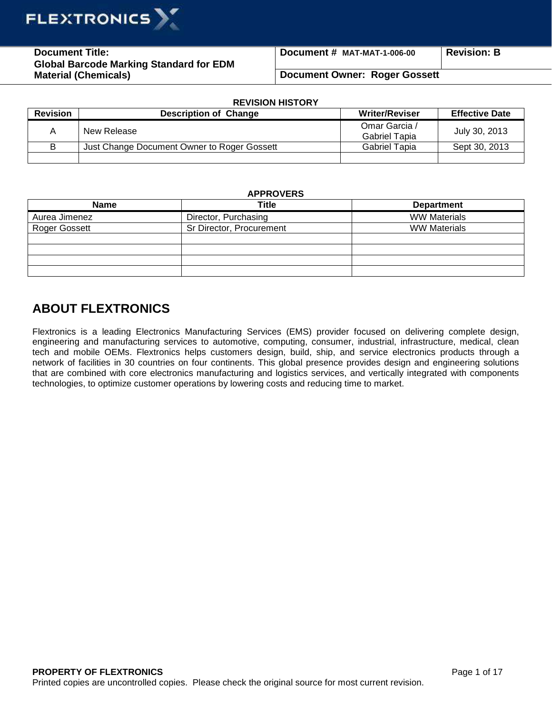

**Document Title: Global Barcode Marking Standard for EDM Material (Chemicals)** 

**Document # MAT-MAT-1-006-00 Revision: B**

## **Document Owner: Roger Gossett**

| <b>REVISION HISTORY</b> |                                             |                                       |                       |  |
|-------------------------|---------------------------------------------|---------------------------------------|-----------------------|--|
| <b>Revision</b>         | <b>Description of Change</b>                | <b>Writer/Reviser</b>                 | <b>Effective Date</b> |  |
| Α                       | New Release                                 | Omar Garcia /<br><b>Gabriel Tapia</b> | July 30, 2013         |  |
| В                       | Just Change Document Owner to Roger Gossett | Gabriel Tapia                         | Sept 30, 2013         |  |
|                         |                                             |                                       |                       |  |

## **APPROVERS**

| <b>Name</b>   | Title                    | <b>Department</b>   |
|---------------|--------------------------|---------------------|
| Aurea Jimenez | Director, Purchasing     | <b>WW Materials</b> |
| Roger Gossett | Sr Director, Procurement | <b>WW Materials</b> |
|               |                          |                     |
|               |                          |                     |
|               |                          |                     |
|               |                          |                     |

## **ABOUT FLEXTRONICS**

Flextronics is a leading Electronics Manufacturing Services (EMS) provider focused on delivering complete design, engineering and manufacturing services to automotive, computing, consumer, industrial, infrastructure, medical, clean tech and mobile OEMs. Flextronics helps customers design, build, ship, and service electronics products through a network of facilities in 30 countries on four continents. This global presence provides design and engineering solutions that are combined with core electronics manufacturing and logistics services, and vertically integrated with components technologies, to optimize customer operations by lowering costs and reducing time to market.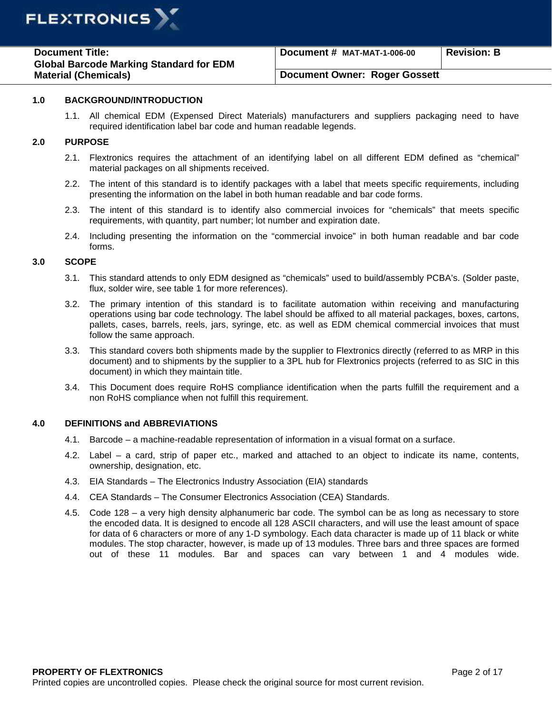

| <b>Document Title:</b>                         | Document # MAT-MAT-1-006-00   | <b>Revision: B</b> |
|------------------------------------------------|-------------------------------|--------------------|
| <b>Global Barcode Marking Standard for EDM</b> |                               |                    |
| <b>Material (Chemicals)</b>                    | Document Owner: Roger Gossett |                    |

## **1.0 BACKGROUND/INTRODUCTION**

1.1. All chemical EDM (Expensed Direct Materials) manufacturers and suppliers packaging need to have required identification label bar code and human readable legends.

## **2.0 PURPOSE**

- 2.1. Flextronics requires the attachment of an identifying label on all different EDM defined as "chemical" material packages on all shipments received.
- 2.2. The intent of this standard is to identify packages with a label that meets specific requirements, including presenting the information on the label in both human readable and bar code forms.
- 2.3. The intent of this standard is to identify also commercial invoices for "chemicals" that meets specific requirements, with quantity, part number; lot number and expiration date.
- 2.4. Including presenting the information on the "commercial invoice" in both human readable and bar code forms.

## **3.0 SCOPE**

- 3.1. This standard attends to only EDM designed as "chemicals" used to build/assembly PCBA's. (Solder paste, flux, solder wire, see table 1 for more references).
- 3.2. The primary intention of this standard is to facilitate automation within receiving and manufacturing operations using bar code technology. The label should be affixed to all material packages, boxes, cartons, pallets, cases, barrels, reels, jars, syringe, etc. as well as EDM chemical commercial invoices that must follow the same approach.
- 3.3. This standard covers both shipments made by the supplier to Flextronics directly (referred to as MRP in this document) and to shipments by the supplier to a 3PL hub for Flextronics projects (referred to as SIC in this document) in which they maintain title.
- 3.4. This Document does require RoHS compliance identification when the parts fulfill the requirement and a non RoHS compliance when not fulfill this requirement.

#### **4.0 DEFINITIONS and ABBREVIATIONS**

- 4.1. Barcode a machine-readable representation of information in a visual format on a surface.
- 4.2. Label a card, strip of paper etc., marked and attached to an object to indicate its name, contents, ownership, designation, etc.
- 4.3. EIA Standards The Electronics Industry Association (EIA) standards
- 4.4. CEA Standards The Consumer Electronics Association (CEA) Standards.
- 4.5. Code 128 a very high density alphanumeric bar code. The symbol can be as long as necessary to store the encoded data. It is designed to encode all 128 ASCII characters, and will use the least amount of space for data of 6 characters or more of any 1-D symbology. Each data character is made up of 11 black or white modules. The stop character, however, is made up of 13 modules. Three bars and three spaces are formed out of these 11 modules. Bar and spaces can vary between 1 and 4 modules wide.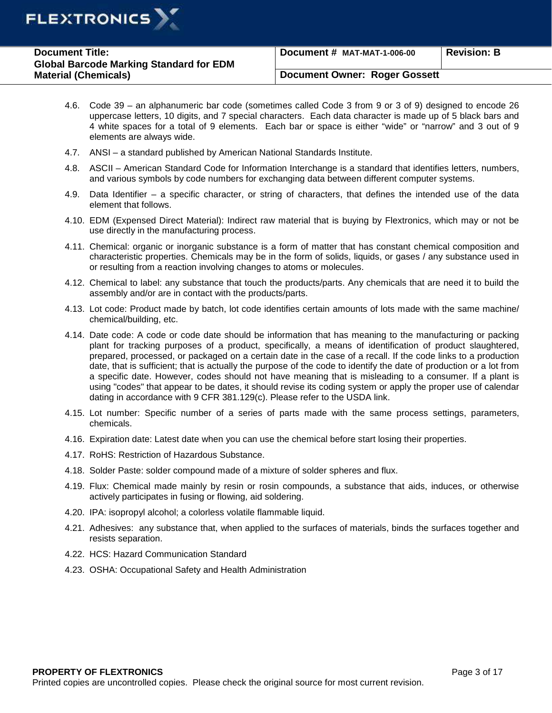

| <b>Document Title:</b>                         | Document # MAT-MAT-1-006-00   | <b>Revision: B</b> |
|------------------------------------------------|-------------------------------|--------------------|
| <b>Global Barcode Marking Standard for EDM</b> |                               |                    |
| <b>Material (Chemicals)</b>                    | Document Owner: Roger Gossett |                    |

- 4.6. Code 39 an alphanumeric bar code (sometimes called Code 3 from 9 or 3 of 9) designed to encode 26 uppercase letters, 10 digits, and 7 special characters. Each data character is made up of 5 black bars and 4 white spaces for a total of 9 elements. Each bar or space is either "wide" or "narrow" and 3 out of 9 elements are always wide.
- 4.7. ANSI a standard published by American National Standards Institute.
- 4.8. ASCII American Standard Code for Information Interchange is a standard that identifies letters, numbers, and various symbols by code numbers for exchanging data between different computer systems.
- 4.9. Data Identifier a specific character, or string of characters, that defines the intended use of the data element that follows.
- 4.10. EDM (Expensed Direct Material): Indirect raw material that is buying by Flextronics, which may or not be use directly in the manufacturing process.
- 4.11. Chemical: organic or inorganic substance is a form of matter that has constant chemical composition and characteristic properties. Chemicals may be in the form of solids, liquids, or gases / any substance used in or resulting from a reaction involving changes to atoms or molecules.
- 4.12. Chemical to label: any substance that touch the products/parts. Any chemicals that are need it to build the assembly and/or are in contact with the products/parts.
- 4.13. Lot code: Product made by batch, lot code identifies certain amounts of lots made with the same machine/ chemical/building, etc.
- 4.14. Date code: A code or code date should be information that has meaning to the manufacturing or packing plant for tracking purposes of a product, specifically, a means of identification of product slaughtered, prepared, processed, or packaged on a certain date in the case of a recall. If the code links to a production date, that is sufficient; that is actually the purpose of the code to identify the date of production or a lot from a specific date. However, codes should not have meaning that is misleading to a consumer. If a plant is using "codes" that appear to be dates, it should revise its coding system or apply the proper use of calendar dating in accordance with 9 CFR 381.129(c). Please refer to the USDA link.
- 4.15. Lot number: Specific number of a series of parts made with the same process settings, parameters, chemicals.
- 4.16. Expiration date: Latest date when you can use the chemical before start losing their properties.
- 4.17. RoHS: Restriction of Hazardous Substance.
- 4.18. Solder Paste: solder compound made of a mixture of solder spheres and flux.
- 4.19. Flux: Chemical made mainly by resin or rosin compounds, a substance that aids, induces, or otherwise actively participates in fusing or flowing, aid soldering.
- 4.20. IPA: isopropyl alcohol; a colorless volatile flammable liquid.
- 4.21. Adhesives: any substance that, when applied to the surfaces of materials, binds the surfaces together and resists separation.
- 4.22. HCS: Hazard Communication Standard
- 4.23. OSHA: Occupational Safety and Health Administration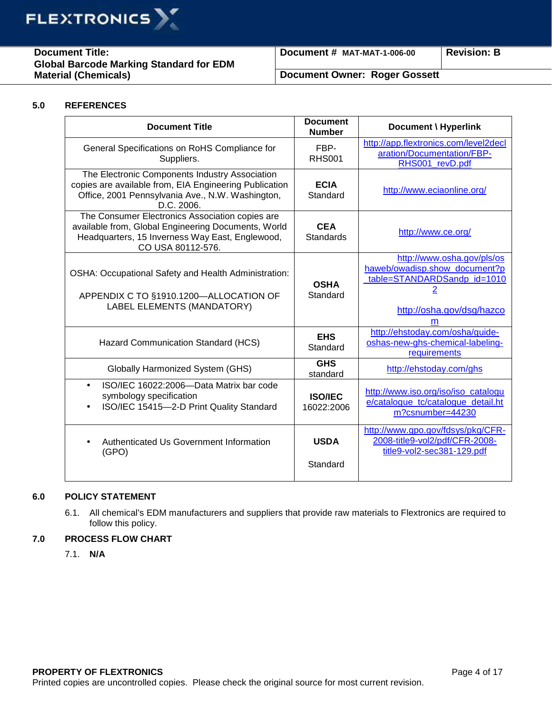

**Document Title: Global Barcode Marking Standard for EDM Material (Chemicals)** 

**Document # MAT-MAT-1-006-00 Revision: B**

## **Document Owner: Roger Gossett**

## **5.0 REFERENCES**

| <b>Document Title</b>                                                                                                                                                          | <b>Document</b><br><b>Number</b> | Document \ Hyperlink                                                                                                                     |
|--------------------------------------------------------------------------------------------------------------------------------------------------------------------------------|----------------------------------|------------------------------------------------------------------------------------------------------------------------------------------|
| General Specifications on RoHS Compliance for<br>Suppliers.                                                                                                                    | FBP-<br><b>RHS001</b>            | http://app.flextronics.com/level2decl<br>aration/Documentation/FBP-<br>RHS001 revD.pdf                                                   |
| The Electronic Components Industry Association<br>copies are available from, EIA Engineering Publication<br>Office, 2001 Pennsylvania Ave., N.W. Washington,<br>D.C. 2006.     | <b>ECIA</b><br>Standard          | http://www.eciaonline.org/                                                                                                               |
| The Consumer Electronics Association copies are<br>available from, Global Engineering Documents, World<br>Headquarters, 15 Inverness Way East, Englewood,<br>CO USA 80112-576. | <b>CEA</b><br><b>Standards</b>   | http://www.ce.org/                                                                                                                       |
| <b>OSHA: Occupational Safety and Health Administration:</b><br>APPENDIX C TO §1910.1200-ALLOCATION OF<br>LABEL ELEMENTS (MANDATORY)                                            | <b>OSHA</b><br>Standard          | http://www.osha.gov/pls/os<br>haweb/owadisp.show_document?p<br>table=STANDARDSandp_id=1010<br><u>2</u><br>http://osha.gov/dsg/hazco<br>m |
| Hazard Communication Standard (HCS)                                                                                                                                            | <b>EHS</b><br>Standard           | http://ehstoday.com/osha/guide-<br>oshas-new-ghs-chemical-labeling-<br>requirements                                                      |
| <b>Globally Harmonized System (GHS)</b>                                                                                                                                        | <b>GHS</b><br>standard           | http://ehstoday.com/ghs                                                                                                                  |
| ISO/IEC 16022:2006-Data Matrix bar code<br>$\bullet$<br>symbology specification<br>ISO/IEC 15415-2-D Print Quality Standard                                                    | <b>ISO/IEC</b><br>16022:2006     | http://www.iso.org/iso/iso_catalogu<br>e/catalogue_tc/catalogue_detail.ht<br>m?csnumber=44230                                            |
| Authenticated Us Government Information<br>(GPO)                                                                                                                               | <b>USDA</b><br>Standard          | http://www.gpo.gov/fdsys/pkg/CFR-<br>2008-title9-vol2/pdf/CFR-2008-<br>title9-vol2-sec381-129.pdf                                        |

## **6.0 POLICY STATEMENT**

6.1. All chemical's EDM manufacturers and suppliers that provide raw materials to Flextronics are required to follow this policy.

## **7.0 PROCESS FLOW CHART**

7.1. **N/A**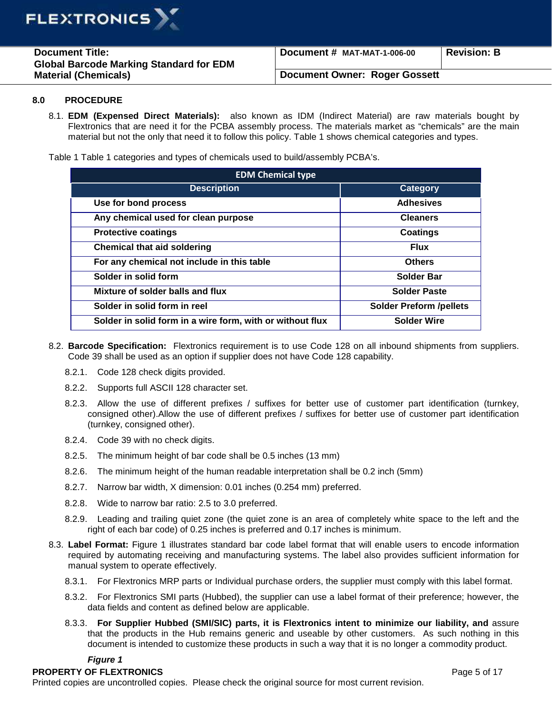

| <b>Document Title:</b><br><b>Global Barcode Marking Standard for EDM</b><br><b>Material (Chemicals)</b> | Document # MAT-MAT-1-006-00          | <b>Revision: B</b> |
|---------------------------------------------------------------------------------------------------------|--------------------------------------|--------------------|
|                                                                                                         | <b>Document Owner: Roger Gossett</b> |                    |

#### **8.0 PROCEDURE**

8.1. **EDM (Expensed Direct Materials):** also known as IDM (Indirect Material) are raw materials bought by Flextronics that are need it for the PCBA assembly process. The materials market as "chemicals" are the main material but not the only that need it to follow this policy. Table 1 shows chemical categories and types.

Table 1 Table 1 categories and types of chemicals used to build/assembly PCBA's.

| <b>EDM Chemical type</b>                                  |                                |  |  |
|-----------------------------------------------------------|--------------------------------|--|--|
| <b>Description</b>                                        | <b>Category</b>                |  |  |
| Use for bond process                                      | <b>Adhesives</b>               |  |  |
| Any chemical used for clean purpose                       | <b>Cleaners</b>                |  |  |
| <b>Protective coatings</b>                                | Coatings                       |  |  |
| <b>Chemical that aid soldering</b>                        | <b>Flux</b>                    |  |  |
| For any chemical not include in this table                | <b>Others</b>                  |  |  |
| Solder in solid form                                      | <b>Solder Bar</b>              |  |  |
| Mixture of solder balls and flux                          | <b>Solder Paste</b>            |  |  |
| Solder in solid form in reel                              | <b>Solder Preform /pellets</b> |  |  |
| Solder in solid form in a wire form, with or without flux | <b>Solder Wire</b>             |  |  |

- 8.2. **Barcode Specification:** Flextronics requirement is to use Code 128 on all inbound shipments from suppliers. Code 39 shall be used as an option if supplier does not have Code 128 capability.
	- 8.2.1. Code 128 check digits provided.
	- 8.2.2. Supports full ASCII 128 character set.
	- 8.2.3. Allow the use of different prefixes / suffixes for better use of customer part identification (turnkey, consigned other).Allow the use of different prefixes / suffixes for better use of customer part identification (turnkey, consigned other).
	- 8.2.4. Code 39 with no check digits.
	- 8.2.5. The minimum height of bar code shall be 0.5 inches (13 mm)
	- 8.2.6. The minimum height of the human readable interpretation shall be 0.2 inch (5mm)
	- 8.2.7. Narrow bar width, X dimension: 0.01 inches (0.254 mm) preferred.
	- 8.2.8. Wide to narrow bar ratio: 2.5 to 3.0 preferred.
	- 8.2.9. Leading and trailing quiet zone (the quiet zone is an area of completely white space to the left and the right of each bar code) of 0.25 inches is preferred and 0.17 inches is minimum.
- 8.3. **Label Format:** Figure 1 illustrates standard bar code label format that will enable users to encode information required by automating receiving and manufacturing systems. The label also provides sufficient information for manual system to operate effectively.
	- 8.3.1. For Flextronics MRP parts or Individual purchase orders, the supplier must comply with this label format.
	- 8.3.2. For Flextronics SMI parts (Hubbed), the supplier can use a label format of their preference; however, the data fields and content as defined below are applicable.
	- 8.3.3. **For Supplier Hubbed (SMI/SIC) parts, it is Flextronics intent to minimize our liability, and** assure that the products in the Hub remains generic and useable by other customers. As such nothing in this document is intended to customize these products in such a way that it is no longer a commodity product.

## **Figure 1**

## **PROPERTY OF FLEXTRONICS PROPERTY OF FLEXTRONICS**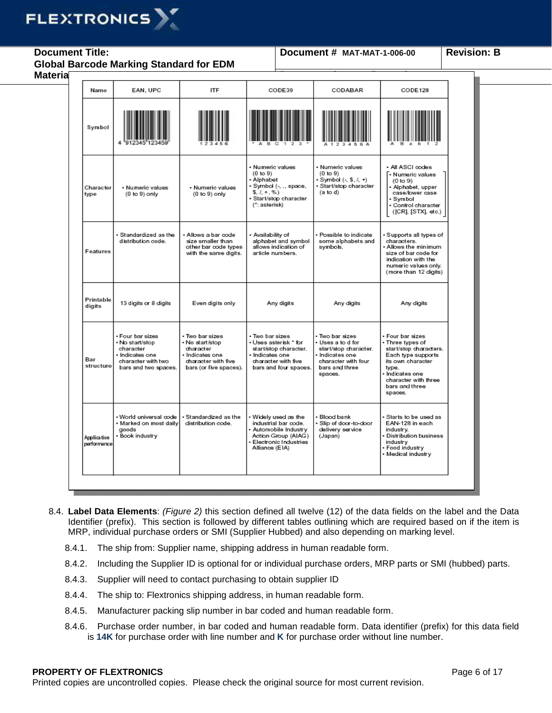# **FLEXTRONICS**

**Document Title: Global Barcode Marking Standard for EDM** 

## **Document # MAT-MAT-1-006-00 Revision: B**

| Name                              | EAN, UPC                                                                                                          | <b>ITF</b>                                                                                                         | CODE39                                                                                                                                      | CODABAR                                                                                                                             | CODE128                                                                                                                                                                                  |
|-----------------------------------|-------------------------------------------------------------------------------------------------------------------|--------------------------------------------------------------------------------------------------------------------|---------------------------------------------------------------------------------------------------------------------------------------------|-------------------------------------------------------------------------------------------------------------------------------------|------------------------------------------------------------------------------------------------------------------------------------------------------------------------------------------|
| Symbol                            |                                                                                                                   |                                                                                                                    |                                                                                                                                             |                                                                                                                                     |                                                                                                                                                                                          |
| Character<br>type                 | · Numeric values<br>$(0 to 9)$ only                                                                               | · Numeric values<br>$(0 to 9)$ only                                                                                | · Numeric values<br>$(0 \text{ to } 9)$<br>· Alphabet<br>• Symbol (-, ., space,<br>$5, 1, +, \%$<br>· Start/stop character<br>(*: asterisk) | • Numeric values<br>(0 to 9)<br>$-Symbol (-, 5, 7, +)$<br>· Start/stop character<br>$(a \text{ to } d)$                             | · All ASCI codes<br>. Numeric values<br>$(0 \text{ to } 9)$<br>· Alphabet, upper<br>case/lower case<br>· Symbol<br>· Control character<br>([CR], [STX], etc.)                            |
| Features                          | • Standardized as the<br>distribution code.                                                                       | • Allows a bar code<br>size smaller than<br>other bar code types<br>with the same digits.                          | • Availability of<br>alphabet and symbol<br>allows indication of<br>article numbers.                                                        | • Possible to indicate<br>some alphabets and<br>symbols.                                                                            | • Supports all types of<br>characters.<br>. Allows the minimum<br>size of bar code for<br>indication with the<br>numeric values only.<br>(more than 12 digits)                           |
| Printable<br>digits               | 13 digits or 8 digits                                                                                             | Even digits only                                                                                                   | Any digits                                                                                                                                  | Any digits                                                                                                                          | Any digits                                                                                                                                                                               |
| Bar<br>structure                  | • Four bar sizes<br>• No start/stop<br>character<br>· Indicates one<br>character with two<br>bars and two spaces. | • Two barsizes<br>• No start/stop<br>character<br>· Indicates one<br>character with five<br>bars (or five spaces). | • Two bar sizes<br>• Uses asterisk * for<br>start/stop character.<br>· Indicates one<br>character with five<br>bars and four spaces.        | ∙ Two bar sizes<br>• Uses a tod for<br>start/stop character.<br>· Indicates one<br>character with four<br>bars and three<br>spaces. | • Four bar sizes<br>• Three types of<br>start/stop characters.<br>Each type supports<br>its own character<br>type.<br>Indicates one<br>character with three<br>bars and three<br>spaces. |
| <b>Application</b><br>performance | · World universal code<br>· Marked on most daily<br>goods<br>• Book industry                                      | · Standardized as the<br>distribution code.                                                                        | • Widely used as the<br>industrial bar code.<br>· Automobile Industry<br>Action Group (AIAG)<br>Electronic Industries<br>Alliance (EIA)     | · Blood bank<br>· Slip of door-to-door<br>delivery service<br>(Japan)                                                               | • Starts to be used as<br>EAN-128 in each<br>industry.<br><b>Distribution business</b><br>industry<br>• Food industry<br>• Medical industry                                              |

- 8.4. **Label Data Elements**: (Figure 2) this section defined all twelve (12) of the data fields on the label and the Data Identifier (prefix). This section is followed by different tables outlining which are required based on if the item is MRP, individual purchase orders or SMI (Supplier Hubbed) and also depending on marking level.
	- 8.4.1. The ship from: Supplier name, shipping address in human readable form.
	- 8.4.2. Including the Supplier ID is optional for or individual purchase orders, MRP parts or SMI (hubbed) parts.
	- 8.4.3. Supplier will need to contact purchasing to obtain supplier ID
	- 8.4.4. The ship to: Flextronics shipping address, in human readable form.
	- 8.4.5. Manufacturer packing slip number in bar coded and human readable form.
	- 8.4.6. Purchase order number, in bar coded and human readable form. Data identifier (prefix) for this data field is **14K** for purchase order with line number and **K** for purchase order without line number.

## **PROPERTY OF FLEXTRONICS PROPERTY OF FLEXTRONICS**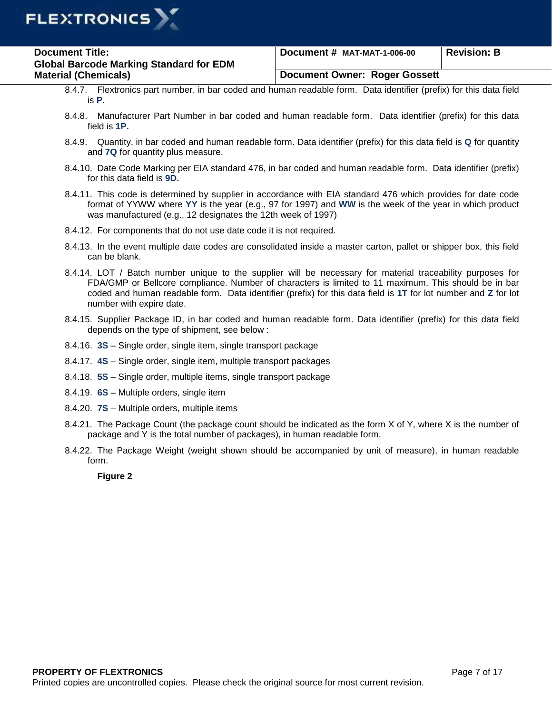

| <b>Document Title:</b>                         | Document # MAT-MAT-1-006-00          | <b>Revision: B</b> |
|------------------------------------------------|--------------------------------------|--------------------|
| <b>Global Barcode Marking Standard for EDM</b> |                                      |                    |
| <b>Material (Chemicals)</b>                    | <b>Document Owner: Roger Gossett</b> |                    |

- 8.4.7. Flextronics part number, in bar coded and human readable form. Data identifier (prefix) for this data field is **P**.
- 8.4.8. Manufacturer Part Number in bar coded and human readable form. Data identifier (prefix) for this data field is **1P.**
- 8.4.9. Quantity, in bar coded and human readable form. Data identifier (prefix) for this data field is **Q** for quantity and **7Q** for quantity plus measure.
- 8.4.10. Date Code Marking per EIA standard 476, in bar coded and human readable form. Data identifier (prefix) for this data field is **9D.**
- 8.4.11. This code is determined by supplier in accordance with EIA standard 476 which provides for date code format of YYWW where **YY** is the year (e.g., 97 for 1997) and **WW** is the week of the year in which product was manufactured (e.g., 12 designates the 12th week of 1997)
- 8.4.12. For components that do not use date code it is not required.
- 8.4.13. In the event multiple date codes are consolidated inside a master carton, pallet or shipper box, this field can be blank.
- 8.4.14. LOT / Batch number unique to the supplier will be necessary for material traceability purposes for FDA/GMP or Bellcore compliance. Number of characters is limited to 11 maximum. This should be in bar coded and human readable form. Data identifier (prefix) for this data field is **1T** for lot number and **Z** for lot number with expire date.
- 8.4.15. Supplier Package ID, in bar coded and human readable form. Data identifier (prefix) for this data field depends on the type of shipment, see below :
- 8.4.16. **3S** Single order, single item, single transport package
- 8.4.17. **4S** Single order, single item, multiple transport packages
- 8.4.18. **5S**  Single order, multiple items, single transport package
- 8.4.19. **6S** Multiple orders, single item
- 8.4.20. **7S**  Multiple orders, multiple items
- 8.4.21. The Package Count (the package count should be indicated as the form X of Y, where X is the number of package and Y is the total number of packages), in human readable form.
- 8.4.22. The Package Weight (weight shown should be accompanied by unit of measure), in human readable form.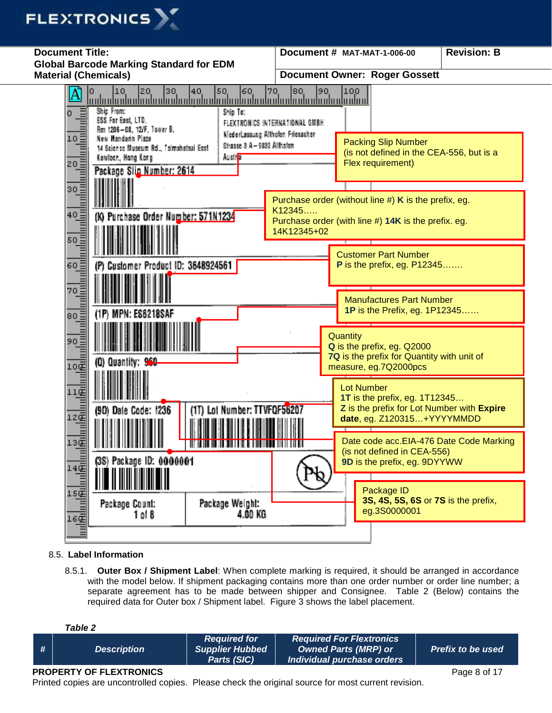



## 8.5. **Label Information**

8.5.1. **Outer Box / Shipment Label**: When complete marking is required, it should be arranged in accordance with the model below. If shipment packaging contains more than one order number or order line number; a separate agreement has to be made between shipper and Consignee. Table 2 (Below) contains the required data for Outer box / Shipment label. Figure 3 shows the label placement.

**Table 2** 

## **PROPERTY OF FLEXTRONICS PROPERTY OF FLEXTRONICS**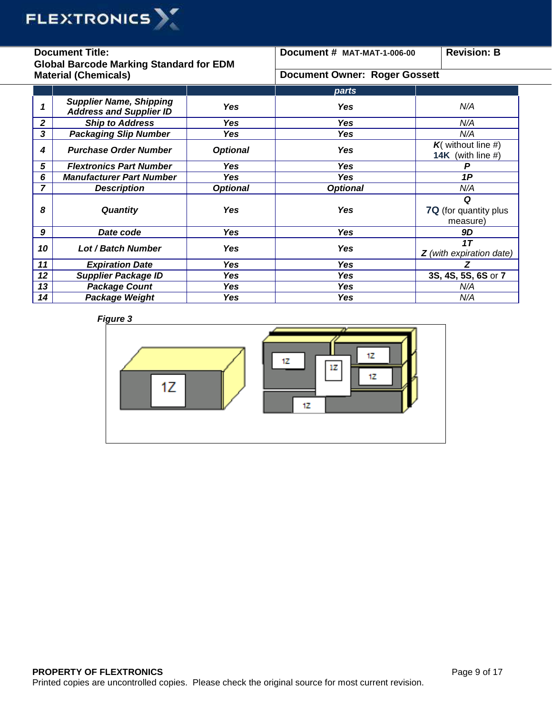

| <b>Document Title:</b><br><b>Global Barcode Marking Standard for EDM</b> |                                                                  | Document # MAT-MAT-1-006-00          | <b>Revision: B</b> |                                           |
|--------------------------------------------------------------------------|------------------------------------------------------------------|--------------------------------------|--------------------|-------------------------------------------|
| <b>Material (Chemicals)</b>                                              |                                                                  | <b>Document Owner: Roger Gossett</b> |                    |                                           |
|                                                                          |                                                                  |                                      | parts              |                                           |
| 1                                                                        | <b>Supplier Name, Shipping</b><br><b>Address and Supplier ID</b> | <b>Yes</b>                           | <b>Yes</b>         | N/A                                       |
| 2                                                                        | <b>Ship to Address</b>                                           | <b>Yes</b>                           | <b>Yes</b>         | N/A                                       |
| 3                                                                        | <b>Packaging Slip Number</b>                                     | Yes                                  | <b>Yes</b>         | N/A                                       |
| 4                                                                        | <b>Purchase Order Number</b>                                     | <b>Optional</b>                      | Yes                | $K$ (without line #)<br>14K (with line #) |
| 5                                                                        | <b>Flextronics Part Number</b>                                   | Yes                                  | Yes                | P                                         |
| 6                                                                        | <b>Manufacturer Part Number</b>                                  | Yes                                  | Yes                | 1P                                        |
| $\overline{ }$                                                           | <b>Description</b>                                               | <b>Optional</b>                      | <b>Optional</b>    | N/A                                       |
| 8                                                                        | <b>Quantity</b>                                                  | Yes                                  | Yes                | Q<br>7Q (for quantity plus<br>measure)    |
| 9                                                                        | Date code                                                        | Yes                                  | <b>Yes</b>         | 9D                                        |
| 10                                                                       | <b>Lot / Batch Number</b>                                        | Yes                                  | Yes                | 1T<br>$Z$ (with expiration date)          |
| 11                                                                       | <b>Expiration Date</b>                                           | <b>Yes</b>                           | <b>Yes</b>         | Z                                         |
| 12                                                                       | <b>Supplier Package ID</b>                                       | Yes                                  | Yes                | 3S, 4S, 5S, 6S or 7                       |
| 13                                                                       | <b>Package Count</b>                                             | <b>Yes</b>                           | Yes                | N/A                                       |
| 14                                                                       | Package Weight                                                   | Yes                                  | <b>Yes</b>         | N/A                                       |

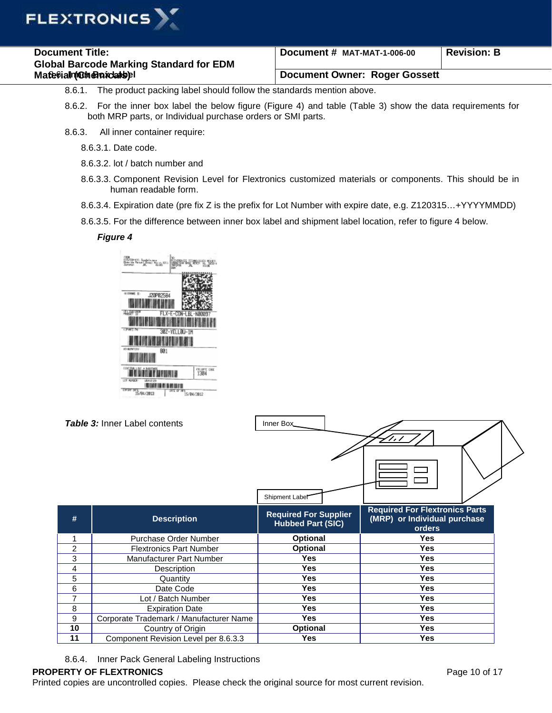

| <b>Document Title:</b>                         | Document # MAT-MAT-1-006-00          | Revision: B |
|------------------------------------------------|--------------------------------------|-------------|
| <b>Global Barcode Marking Standard for EDM</b> |                                      |             |
| Matepialmuch charceadepl                       | <b>Document Owner: Roger Gossett</b> |             |

- 8.6.1. The product packing label should follow the standards mention above.
- 8.6.2. For the inner box label the below figure (Figure 4) and table (Table 3) show the data requirements for both MRP parts, or Individual purchase orders or SMI parts.
- 8.6.3. All inner container require:
	- 8.6.3.1. Date code.
	- 8.6.3.2. lot / batch number and
	- 8.6.3.3. Component Revision Level for Flextronics customized materials or components. This should be in human readable form.
	- 8.6.3.4. Expiration date (pre fix Z is the prefix for Lot Number with expire date, e.g. Z120315…+YYYYMMDD)
	- 8.6.3.5. For the difference between inner box label and shipment label location, refer to figure 4 below.

## **Figure 4**



|                | <b>Table 3:</b> Inner Label contents    | Inner Box<br>Shipment Label                              | $\overline{\phantom{a}}$                                                        |  |
|----------------|-----------------------------------------|----------------------------------------------------------|---------------------------------------------------------------------------------|--|
| #              | <b>Description</b>                      | <b>Required For Supplier</b><br><b>Hubbed Part (SIC)</b> | <b>Required For Flextronics Parts</b><br>(MRP) or Individual purchase<br>orders |  |
| 1              | Purchase Order Number                   | <b>Optional</b>                                          | <b>Yes</b>                                                                      |  |
| $\overline{2}$ | <b>Flextronics Part Number</b>          | Optional                                                 | <b>Yes</b>                                                                      |  |
| 3              | <b>Manufacturer Part Number</b>         | Yes                                                      | <b>Yes</b>                                                                      |  |
| 4              | Description                             | <b>Yes</b>                                               | <b>Yes</b>                                                                      |  |
| 5              | Quantity                                | Yes                                                      | <b>Yes</b>                                                                      |  |
| 6              | Date Code                               | Yes                                                      | <b>Yes</b>                                                                      |  |
| $\overline{7}$ | Lot / Batch Number                      | <b>Yes</b>                                               | <b>Yes</b>                                                                      |  |
| 8              | <b>Expiration Date</b>                  | Yes                                                      | <b>Yes</b>                                                                      |  |
| 9              | Corporate Trademark / Manufacturer Name | <b>Yes</b>                                               | <b>Yes</b>                                                                      |  |
| 10             | Country of Origin                       | <b>Optional</b>                                          | <b>Yes</b>                                                                      |  |
| 11             | Component Revision Level per 8.6.3.3    | Yes                                                      | Yes                                                                             |  |

8.6.4. Inner Pack General Labeling Instructions

## **PROPERTY OF FLEXTRONICS PROPERTY OF FLEXTRONICS**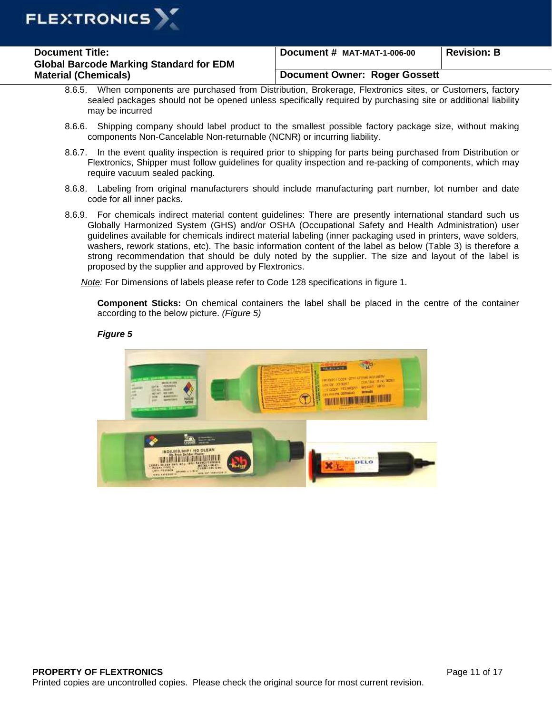

| <b>Document Title:</b>                         | Document # MAT-MAT-1-006-00   | <b>Revision: B</b> |
|------------------------------------------------|-------------------------------|--------------------|
| <b>Global Barcode Marking Standard for EDM</b> |                               |                    |
| <b>Material (Chemicals)</b>                    | Document Owner: Roger Gossett |                    |

- 8.6.5. When components are purchased from Distribution, Brokerage, Flextronics sites, or Customers, factory sealed packages should not be opened unless specifically required by purchasing site or additional liability may be incurred
- 8.6.6. Shipping company should label product to the smallest possible factory package size, without making components Non-Cancelable Non-returnable (NCNR) or incurring liability.
- 8.6.7. In the event quality inspection is required prior to shipping for parts being purchased from Distribution or Flextronics, Shipper must follow guidelines for quality inspection and re-packing of components, which may require vacuum sealed packing.
- 8.6.8. Labeling from original manufacturers should include manufacturing part number, lot number and date code for all inner packs.
- 8.6.9. For chemicals indirect material content guidelines: There are presently international standard such us Globally Harmonized System (GHS) and/or OSHA (Occupational Safety and Health Administration) user guidelines available for chemicals indirect material labeling (inner packaging used in printers, wave solders, washers, rework stations, etc). The basic information content of the label as below (Table 3) is therefore a strong recommendation that should be duly noted by the supplier. The size and layout of the label is proposed by the supplier and approved by Flextronics.

Note: For Dimensions of labels please refer to Code 128 specifications in figure 1.

**Component Sticks:** On chemical containers the label shall be placed in the centre of the container according to the below picture. (Figure 5)

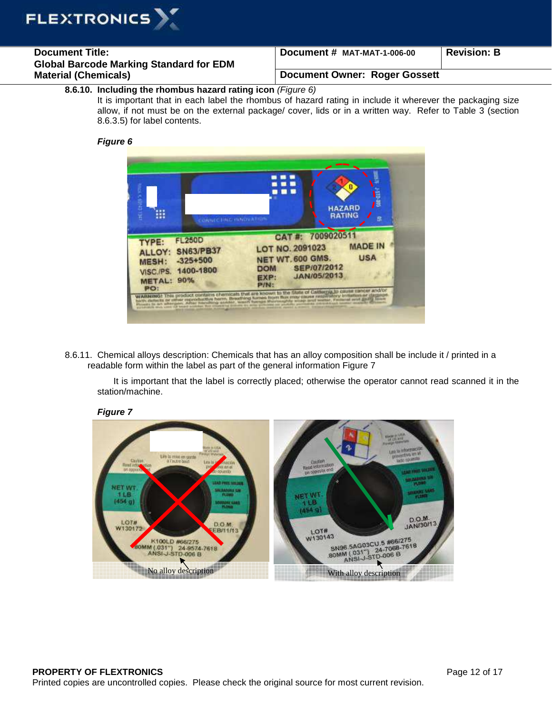

| <b>Document Title:</b>                         | Document # MAT-MAT-1-006-00   | <b>Revision: B</b> |
|------------------------------------------------|-------------------------------|--------------------|
| <b>Global Barcode Marking Standard for EDM</b> |                               |                    |
| <b>Material (Chemicals)</b>                    | Document Owner: Roger Gossett |                    |

## **8.6.10. Including the rhombus hazard rating icon** (Figure 6)

It is important that in each label the rhombus of hazard rating in include it wherever the packaging size allow, if not must be on the external package/ cover, lids or in a written way. Refer to Table 3 (section 8.6.3.5) for label contents.

## **Figure 6**



8.6.11. Chemical alloys description: Chemicals that has an alloy composition shall be include it / printed in a readable form within the label as part of the general information Figure 7

It is important that the label is correctly placed; otherwise the operator cannot read scanned it in the station/machine.

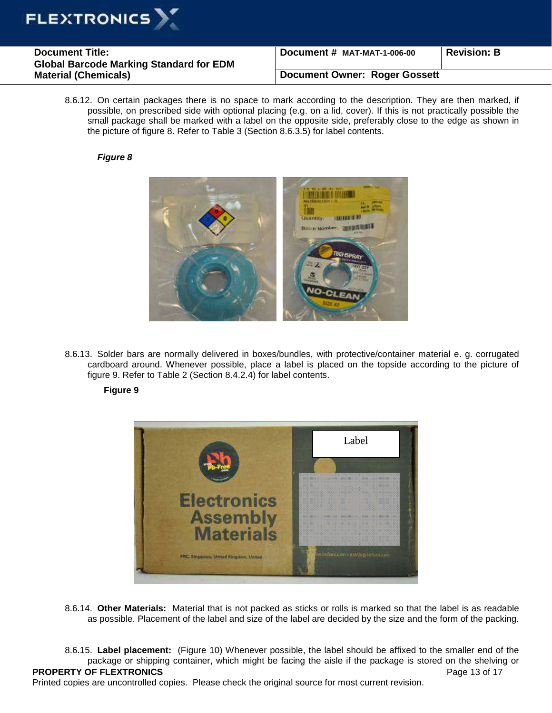

| <b>Document Title:</b><br><b>Global Barcode Marking Standard for EDM</b> | Document # MAT-MAT-1-006-00          | <b>Revision: B</b> |
|--------------------------------------------------------------------------|--------------------------------------|--------------------|
| <b>Material (Chemicals)</b>                                              | <b>Document Owner: Roger Gossett</b> |                    |

8.6.12. On certain packages there is no space to mark according to the description. They are then marked, if possible, on prescribed side with optional placing (e.g. on a lid, cover). If this is not practically possible the small package shall be marked with a label on the opposite side, preferably close to the edge as shown in the picture of figure 8. Refer to Table 3 (Section 8.6.3.5) for label contents.

## **Figure 8**



8.6.13. Solder bars are normally delivered in boxes/bundles, with protective/container material e. g. corrugated cardboard around. Whenever possible, place a label is placed on the topside according to the picture of figure 9. Refer to Table 2 (Section 8.4.2.4) for label contents.

## **Figure 9**



8.6.14. **Other Materials:** Material that is not packed as sticks or rolls is marked so that the label is as readable as possible. Placement of the label and size of the label are decided by the size and the form of the packing.

**PROPERTY OF FLEXTRONICS PROPERTY OF FLEXTRONICS** 8.6.15. **Label placement:** (Figure 10) Whenever possible, the label should be affixed to the smaller end of the package or shipping container, which might be facing the aisle if the package is stored on the shelving or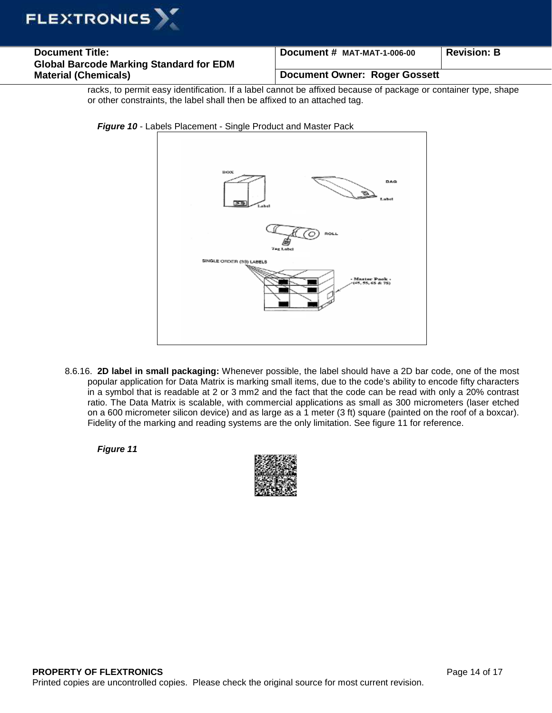

| <b>Document Title:</b>                         | Document # MAT-MAT-1-006-00   | <b>Revision: B</b> |
|------------------------------------------------|-------------------------------|--------------------|
| <b>Global Barcode Marking Standard for EDM</b> |                               |                    |
| <b>Material (Chemicals)</b>                    | Document Owner: Roger Gossett |                    |

racks, to permit easy identification. If a label cannot be affixed because of package or container type, shape or other constraints, the label shall then be affixed to an attached tag.



**Figure 10** - Labels Placement - Single Product and Master Pack

8.6.16. **2D label in small packaging:** Whenever possible, the label should have a 2D bar code, one of the most popular application for Data Matrix is marking small items, due to the code's ability to encode fifty characters in a symbol that is readable at 2 or 3 mm2 and the fact that the code can be read with only a 20% contrast ratio. The Data Matrix is scalable, with commercial applications as small as 300 micrometers (laser etched on a 600 micrometer silicon device) and as large as a 1 meter (3 ft) square (painted on the roof of a boxcar). Fidelity of the marking and reading systems are the only limitation. See figure 11 for reference.

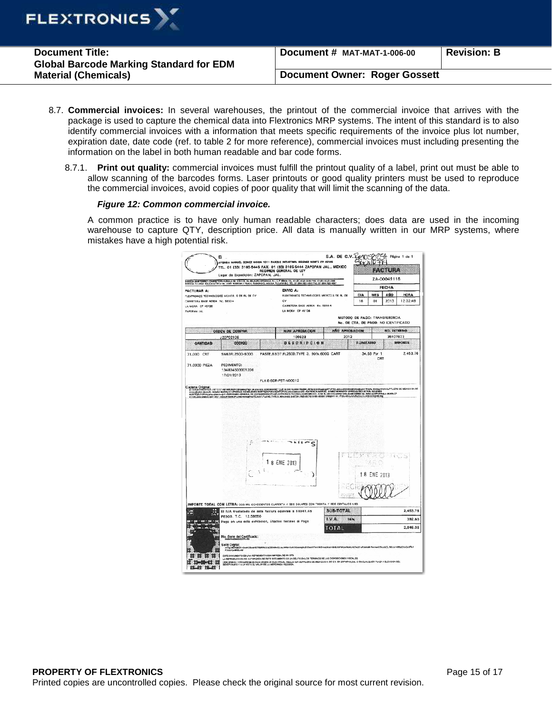

| <b>Document Title:</b><br><b>Global Barcode Marking Standard for EDM</b> | Document # MAT-MAT-1-006-00          | <b>Revision: B</b> |
|--------------------------------------------------------------------------|--------------------------------------|--------------------|
| <b>Material (Chemicals)</b>                                              | <b>Document Owner: Roger Gossett</b> |                    |

- 8.7. **Commercial invoices:** In several warehouses, the printout of the commercial invoice that arrives with the package is used to capture the chemical data into Flextronics MRP systems. The intent of this standard is to also identify commercial invoices with a information that meets specific requirements of the invoice plus lot number, expiration date, date code (ref. to table 2 for more reference), commercial invoices must including presenting the information on the label in both human readable and bar code forms.
	- 8.7.1. **Print out quality:** commercial invoices must fulfill the printout quality of a label, print out must be able to allow scanning of the barcodes forms. Laser printouts or good quality printers must be used to reproduce the commercial invoices, avoid copies of poor quality that will limit the scanning of the data.

## **Figure 12: Common commercial invoice.**

A common practice is to have only human readable characters; does data are used in the incoming warehouse to capture QTY, description price. All data is manually written in our MRP systems, where mistakes have a high potential risk.

|                                                                                           | Luger de Expedición: ZAPOPAN, JAL.                             | BODEGA MONTERREY: CARRETERA HAINALA No. 235 COL. EL MILAGRO AROBACA, N.L. C.P. 68634 TEL. 01 (81) A321-3388 FAX: 01 (81) 5321-2384<br>BODEGA TIJLIANA: AGLILA AZTECA No. 2005: BODEGA 2 FRAGG. RANCHO CL AGUILA, TULANA BIĆ. TEL. |                                     | ZA-00049118                                |                    |              |                                |
|-------------------------------------------------------------------------------------------|----------------------------------------------------------------|-----------------------------------------------------------------------------------------------------------------------------------------------------------------------------------------------------------------------------------|-------------------------------------|--------------------------------------------|--------------------|--------------|--------------------------------|
|                                                                                           |                                                                |                                                                                                                                                                                                                                   |                                     |                                            |                    | <b>FECHA</b> |                                |
| <b>FACTURAR A:</b><br>CARRIETERA BASE AEREA NO. 5850-4<br>LA MORA CP 45136<br>ZAPOPAN JAL | FLEXTRONICS TECHNOLOGIES NEXICO, S DE FIL DE CV.               | ENVIO A:<br>FLEXTRONCS TECHNOLOGIES MEXICO.S OF RL OF<br>ev<br>CARRETERA BASE AFREA No. 5850-4<br>LA MCRA CP 45136                                                                                                                |                                     | DIA<br>1R<br>METODO DE PAGO: TRANSFERENCIA | MES<br>$^{\circ}$  | AÑO<br>2013  | <b>HORA</b><br>12:32:49        |
|                                                                                           |                                                                | NUM APROBACION                                                                                                                                                                                                                    | <b>AÑO APROBACION</b>               | No. DE CTA. DE PAGO: NO IDENTIFICADO       |                    | NO. INTERNO  |                                |
|                                                                                           | ORDEN DE COMPRA<br>J20P02106                                   | 100628                                                                                                                                                                                                                            | 2012                                |                                            |                    | 36107823     |                                |
| <b>CANTIDAD</b>                                                                           | CODIGO                                                         | <b>DESCRIPCION</b>                                                                                                                                                                                                                |                                     | <b>P.UNITARIO</b>                          |                    |              | <b><i>UMPORTE</i></b>          |
| 71,000 CRT<br>71.0000 PIEZA                                                               | SN63FL250D-600G<br>PEDIMENTO:<br>134834503001206<br>17/01/2013 | PASTE,63/37,FL250D,TYPE 3, 90%,600G CART                                                                                                                                                                                          |                                     |                                            | 34.56 Por 1<br>CRT |              | 2,453.76                       |
|                                                                                           |                                                                |                                                                                                                                                                                                                                   |                                     |                                            |                    |              |                                |
|                                                                                           |                                                                | ς<br>1 8 ENE 2013                                                                                                                                                                                                                 |                                     |                                            |                    | $-144$       |                                |
|                                                                                           | PESOS. T.C. 12.58650                                           | IMPORTE TOTAL CON LETRA: OOS MIL OCHOCIENTOS CUARENTA Y SEIS DOLARES CON TREINTA Y SEIS CENTAVOS USD<br>El IVA trasladado de esta factura equivale a \$4941.45                                                                    | NOVERE<br><b>SUB-TOTAL</b><br>LV.A. | 16%                                        | 18 ENE 2013        |              |                                |
| 翮                                                                                         |                                                                | Pago en una sola exhibicion, Efectos fiscales al Pago                                                                                                                                                                             | TOTAL                               |                                            |                    |              | 2.453.76<br>392.60<br>2,846.36 |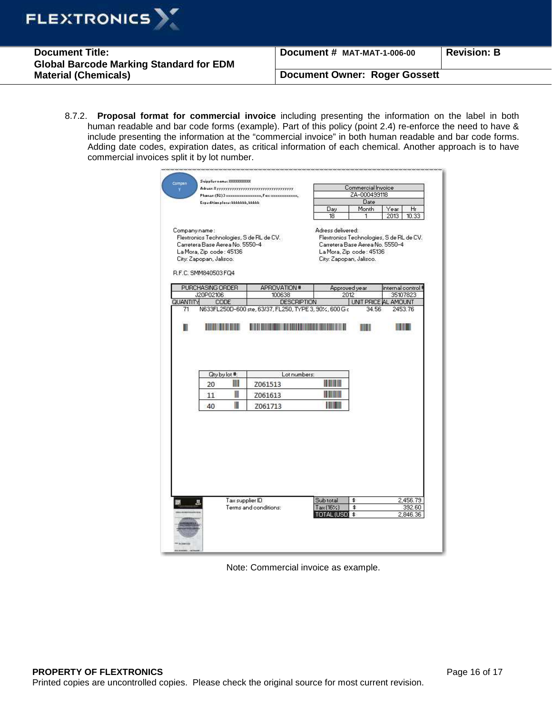

| <b>Document Title:</b>                         | Document # MAT-MAT-1-006-00          | Revision: B |
|------------------------------------------------|--------------------------------------|-------------|
| <b>Global Barcode Marking Standard for EDM</b> |                                      |             |
| <b>Material (Chemicals)</b>                    | <b>Document Owner: Roger Gossett</b> |             |

8.7.2. **Proposal format for commercial invoice** including presenting the information on the label in both human readable and bar code forms (example). Part of this policy (point 2.4) re-enforce the need to have & include presenting the information at the "commercial invoice" in both human readable and bar code forms. Adding date codes, expiration dates, as critical information of each chemical. Another approach is to have commercial invoices split it by lot number.

| Compen         | Suipplier name: 88888888888<br>Adress: Nyyyyyyyyyyyyyyyyyyyyyyyyyyyyyyyyy                                      |                 |                                                                              |                                              | Commercial Invoice                                                                                      |                    |          |
|----------------|----------------------------------------------------------------------------------------------------------------|-----------------|------------------------------------------------------------------------------|----------------------------------------------|---------------------------------------------------------------------------------------------------------|--------------------|----------|
|                |                                                                                                                |                 | Phoner: (52) 3 xxxxxxxxxxxxxxxxx, Fox: xxxxxxxxxxxxx,                        |                                              | ZA-000499118                                                                                            |                    |          |
|                | Expedition place: kkkkkkk, kkkkk                                                                               |                 |                                                                              |                                              | Date                                                                                                    |                    |          |
|                |                                                                                                                |                 |                                                                              | Day                                          | Month                                                                                                   | Year:              | Hr       |
|                |                                                                                                                |                 |                                                                              | 18                                           | 1                                                                                                       | 2013               | 10.33    |
| Company name:  | Carretera Base Aerea No. 5550-4<br>La Mora, Zip code: 45136<br>City: Zapopan, Jalisco.<br>R.F.C. SMM840503 FQ4 |                 | Flextronics Technologies, S de RL de CV.                                     | Adress delivered:<br>City: Zapopan, Jalisco. | Flextronics Technologies, S de RL de CV.<br>Carretera Base Aerea No. 5550-4<br>La Mora, Zip code: 45136 |                    |          |
|                | PURCHASING ORDER                                                                                               |                 | APROVATION #                                                                 |                                              | Approved year                                                                                           | internal control ‡ |          |
|                | J20P02106                                                                                                      |                 | 100638                                                                       | 2012                                         |                                                                                                         |                    | 35107823 |
| QUANTITY<br>71 | CODE                                                                                                           |                 | <b>DESCRIPTION</b><br>N633FL250D-600 ste, 63/37, FL250, TYPE 3, 90%, 600 G c |                                              | UNIT PRICE AL AMOUNT<br>34.56                                                                           |                    | 2453.76  |
|                |                                                                                                                |                 |                                                                              |                                              |                                                                                                         |                    |          |
| Ш              |                                                                                                                |                 |                                                                              |                                              | ШШ                                                                                                      |                    |          |
|                |                                                                                                                |                 |                                                                              |                                              |                                                                                                         |                    |          |
|                | Qty by lot #:                                                                                                  |                 | Lot numbers:                                                                 |                                              |                                                                                                         |                    |          |
|                | 20                                                                                                             | Ш               | Z061513                                                                      |                                              |                                                                                                         |                    |          |
|                | 11                                                                                                             | $\blacksquare$  | Z061613                                                                      | I III III                                    |                                                                                                         |                    |          |
|                | 40                                                                                                             | Ш               | Z061713                                                                      | mm                                           |                                                                                                         |                    |          |
|                |                                                                                                                |                 |                                                                              |                                              |                                                                                                         |                    |          |
|                |                                                                                                                | Tax supplier ID |                                                                              | Sub total                                    | \$                                                                                                      |                    | 2,456.79 |
|                |                                                                                                                |                 | Terms and conditions:                                                        | Tax (16%)                                    | \$                                                                                                      |                    | 392.60   |
|                |                                                                                                                |                 |                                                                              | <b>TOTAL (USD) \$</b>                        |                                                                                                         |                    | 2,846.36 |
|                |                                                                                                                |                 |                                                                              |                                              |                                                                                                         |                    |          |

Note: Commercial invoice as example.